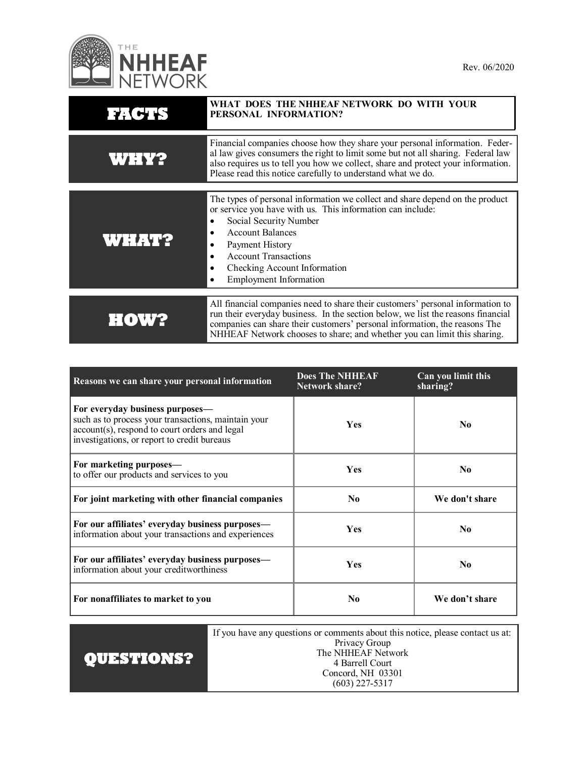

| FACTS        | WHAT DOES THE NHHEAF NETWORK DO WITH YOUR<br>PERSONAL INFORMATION?                                                                                                                                                                                                                                                           |
|--------------|------------------------------------------------------------------------------------------------------------------------------------------------------------------------------------------------------------------------------------------------------------------------------------------------------------------------------|
| <b>WHY?</b>  | Financial companies choose how they share your personal information. Feder-<br>al law gives consumers the right to limit some but not all sharing. Federal law<br>also requires us to tell you how we collect, share and protect your information.<br>Please read this notice carefully to understand what we do.            |
| <b>WHAT?</b> | The types of personal information we collect and share depend on the product<br>or service you have with us. This information can include:<br>Social Security Number<br><b>Account Balances</b><br>Payment History<br><b>Account Transactions</b><br>Checking Account Information<br><b>Employment Information</b>           |
| HOW          | All financial companies need to share their customers' personal information to<br>run their everyday business. In the section below, we list the reasons financial<br>companies can share their customers' personal information, the reasons The<br>NHHEAF Network chooses to share; and whether you can limit this sharing. |

| Reasons we can share your personal information                                                                                                                                         | <b>Does The NHHEAF</b><br><b>Network share?</b> | Can you limit this<br>sharing? |
|----------------------------------------------------------------------------------------------------------------------------------------------------------------------------------------|-------------------------------------------------|--------------------------------|
| For everyday business purposes—<br>such as to process your transactions, maintain your<br>account(s), respond to court orders and legal<br>investigations, or report to credit bureaus | <b>Yes</b>                                      | No.                            |
| For marketing purposes—<br>to offer our products and services to you                                                                                                                   | <b>Yes</b>                                      | N <sub>0</sub>                 |
| For joint marketing with other financial companies                                                                                                                                     | N <sub>0</sub>                                  | We don't share                 |
| For our affiliates' everyday business purposes—<br>information about your transactions and experiences                                                                                 | <b>Yes</b>                                      | No.                            |
| For our affiliates' everyday business purposes—<br>information about your creditworthiness                                                                                             | <b>Yes</b>                                      | No.                            |
| For nonaffiliates to market to you                                                                                                                                                     | N <sub>0</sub>                                  | We don't share                 |

| <b>QUESTIONS?</b> | If you have any questions or comments about this notice, please contact us at: |
|-------------------|--------------------------------------------------------------------------------|
|                   | Privacy Group                                                                  |
|                   | The NHHEAF Network                                                             |
|                   | 4 Barrell Court                                                                |
|                   | Concord, NH 03301                                                              |
|                   | $(603)$ 227-5317                                                               |